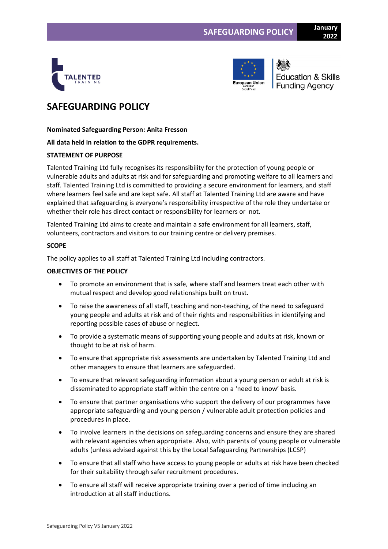



**Education & Skills Funding Agency** 

# **SAFEGUARDING POLICY**

**Nominated Safeguarding Person: Anita Fresson**

# **All data held in relation to the GDPR requirements.**

# **STATEMENT OF PURPOSE**

Talented Training Ltd fully recognises its responsibility for the protection of young people or vulnerable adults and adults at risk and for safeguarding and promoting welfare to all learners and staff. Talented Training Ltd is committed to providing a secure environment for learners, and staff where learners feel safe and are kept safe. All staff at Talented Training Ltd are aware and have explained that safeguarding is everyone's responsibility irrespective of the role they undertake or whether their role has direct contact or responsibility for learners or not.

Talented Training Ltd aims to create and maintain a safe environment for all learners, staff, volunteers, contractors and visitors to our training centre or delivery premises.

# **SCOPE**

The policy applies to all staff at Talented Training Ltd including contractors.

# **OBJECTIVES OF THE POLICY**

- To promote an environment that is safe, where staff and learners treat each other with mutual respect and develop good relationships built on trust.
- To raise the awareness of all staff, teaching and non-teaching, of the need to safeguard young people and adults at risk and of their rights and responsibilities in identifying and reporting possible cases of abuse or neglect.
- To provide a systematic means of supporting young people and adults at risk, known or thought to be at risk of harm.
- To ensure that appropriate risk assessments are undertaken by Talented Training Ltd and other managers to ensure that learners are safeguarded.
- To ensure that relevant safeguarding information about a young person or adult at risk is disseminated to appropriate staff within the centre on a 'need to know' basis.
- To ensure that partner organisations who support the delivery of our programmes have appropriate safeguarding and young person / vulnerable adult protection policies and procedures in place.
- To involve learners in the decisions on safeguarding concerns and ensure they are shared with relevant agencies when appropriate. Also, with parents of young people or vulnerable adults (unless advised against this by the Local Safeguarding Partnerships (LCSP)
- To ensure that all staff who have access to young people or adults at risk have been checked for their suitability through safer recruitment procedures.
- To ensure all staff will receive appropriate training over a period of time including an introduction at all staff inductions.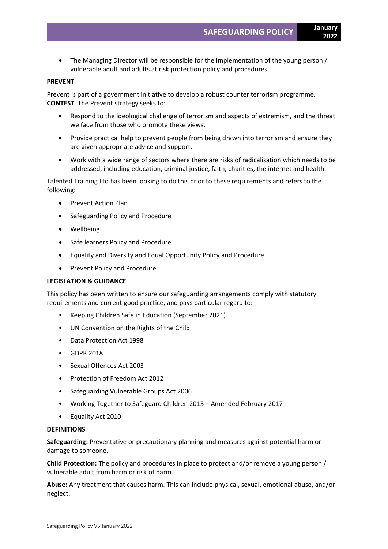• The Managing Director will be responsible for the implementation of the young person / vulnerable adult and adults at risk protection policy and procedures.

### **PREVENT**

Prevent is part of a government initiative to develop a robust counter terrorism programme, **CONTEST**. The Prevent strategy seeks to:

- Respond to the ideological challenge of terrorism and aspects of extremism, and the threat we face from those who promote these views.
- Provide practical help to prevent people from being drawn into terrorism and ensure they are given appropriate advice and support.
- Work with a wide range of sectors where there are risks of radicalisation which needs to be addressed, including education, criminal justice, faith, charities, the internet and health.

Talented Training Ltd has been looking to do this prior to these requirements and refers to the following:

- Prevent Action Plan
- Safeguarding Policy and Procedure
- Wellbeing
- Safe learners Policy and Procedure
- Equality and Diversity and Equal Opportunity Policy and Procedure
- Prevent Policy and Procedure

# **LEGISLATION & GUIDANCE**

This policy has been written to ensure our safeguarding arrangements comply with statutory requirements and current good practice, and pays particular regard to:

- Keeping Children Safe in Education (September 2021)
- UN Convention on the Rights of the Child
- Data Protection Act 1998
- GDPR 2018
- Sexual Offences Act 2003
- Protection of Freedom Act 2012
- Safeguarding Vulnerable Groups Act 2006
- Working Together to Safeguard Children 2015 Amended February 2017
- Equality Act 2010

#### **DEFINITIONS**

**Safeguarding:** Preventative or precautionary planning and measures against potential harm or damage to someone.

**Child Protection:** The policy and procedures in place to protect and/or remove a young person / vulnerable adult from harm or risk of harm.

**Abuse:** Any treatment that causes harm. This can include physical, sexual, emotional abuse, and/or neglect.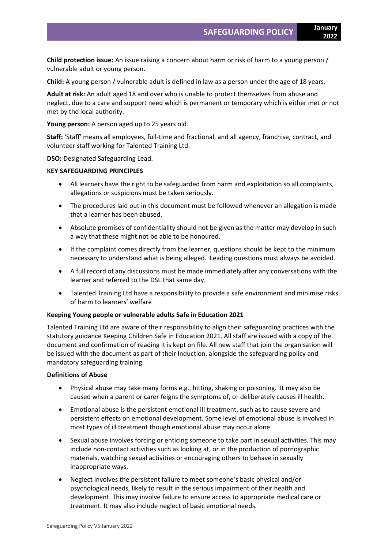**Child protection issue:** An issue raising a concern about harm or risk of harm to a young person / vulnerable adult or young person.

**Child:** A young person / vulnerable adult is defined in law as a person under the age of 18 years.

**Adult at risk:** An adult aged 18 and over who is unable to protect themselves from abuse and neglect, due to a care and support need which is permanent or temporary which is either met or not met by the local authority.

**Young person:** A person aged up to 25 years old.

**Staff:** 'Staff' means all employees, full-time and fractional, and all agency, franchise, contract, and volunteer staff working for Talented Training Ltd.

**DSO:** Designated Safeguarding Lead.

### **KEY SAFEGUARDING PRINCIPLES**

- All learners have the right to be safeguarded from harm and exploitation so all complaints, allegations or suspicions must be taken seriously.
- The procedures laid out in this document must be followed whenever an allegation is made that a learner has been abused.
- Absolute promises of confidentiality should not be given as the matter may develop in such a way that these might not be able to be honoured.
- If the complaint comes directly from the learner, questions should be kept to the minimum necessary to understand what is being alleged. Leading questions must always be avoided.
- A full record of any discussions must be made immediately after any conversations with the learner and referred to the DSL that same day.
- Talented Training Ltd have a responsibility to provide a safe environment and minimise risks of harm to learners' welfare

### **Keeping Young people or vulnerable adults Safe in Education 2021**

Talented Training Ltd are aware of their responsibility to align their safeguarding practices with the statutory guidance Keeping Children Safe in Education 2021. All staff are issued with a copy of the document and confirmation of reading it is kept on file. All new staff that join the organisation will be issued with the document as part of their Induction, alongside the safeguarding policy and mandatory safeguarding training.

### **Definitions of Abuse**

- Physical abuse may take many forms e.g., hitting, shaking or poisoning. It may also be caused when a parent or carer feigns the symptoms of, or deliberately causes ill health.
- Emotional abuse is the persistent emotional ill treatment, such as to cause severe and persistent effects on emotional development. Some level of emotional abuse is involved in most types of ill treatment though emotional abuse may occur alone.
- Sexual abuse involves forcing or enticing someone to take part in sexual activities. This may include non-contact activities such as looking at, or in the production of pornographic materials, watching sexual activities or encouraging others to behave in sexually inappropriate ways.
- Neglect involves the persistent failure to meet someone's basic physical and/or psychological needs, likely to result in the serious impairment of their health and development. This may involve failure to ensure access to appropriate medical care or treatment. It may also include neglect of basic emotional needs.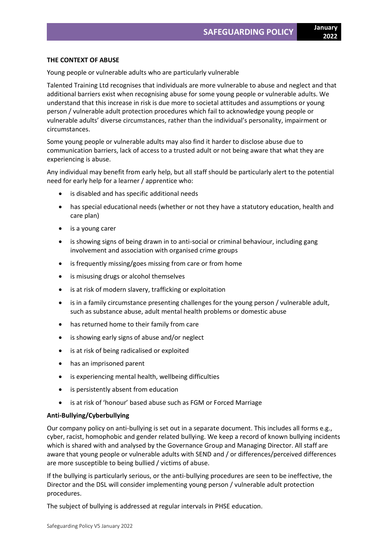### **THE CONTEXT OF ABUSE**

Young people or vulnerable adults who are particularly vulnerable

Talented Training Ltd recognises that individuals are more vulnerable to abuse and neglect and that additional barriers exist when recognising abuse for some young people or vulnerable adults. We understand that this increase in risk is due more to societal attitudes and assumptions or young person / vulnerable adult protection procedures which fail to acknowledge young people or vulnerable adults' diverse circumstances, rather than the individual's personality, impairment or circumstances.

Some young people or vulnerable adults may also find it harder to disclose abuse due to communication barriers, lack of access to a trusted adult or not being aware that what they are experiencing is abuse.

Any individual may benefit from early help, but all staff should be particularly alert to the potential need for early help for a learner / apprentice who:

- is disabled and has specific additional needs
- has special educational needs (whether or not they have a statutory education, health and care plan)
- is a young carer
- is showing signs of being drawn in to anti-social or criminal behaviour, including gang involvement and association with organised crime groups
- is frequently missing/goes missing from care or from home
- is misusing drugs or alcohol themselves
- is at risk of modern slavery, trafficking or exploitation
- is in a family circumstance presenting challenges for the young person / vulnerable adult, such as substance abuse, adult mental health problems or domestic abuse
- has returned home to their family from care
- is showing early signs of abuse and/or neglect
- is at risk of being radicalised or exploited
- has an imprisoned parent
- is experiencing mental health, wellbeing difficulties
- is persistently absent from education
- is at risk of 'honour' based abuse such as FGM or Forced Marriage

### **Anti-Bullying/Cyberbullying**

Our company policy on anti-bullying is set out in a separate document. This includes all forms e.g., cyber, racist, homophobic and gender related bullying. We keep a record of known bullying incidents which is shared with and analysed by the Governance Group and Managing Director. All staff are aware that young people or vulnerable adults with SEND and / or differences/perceived differences are more susceptible to being bullied / victims of abuse.

If the bullying is particularly serious, or the anti-bullying procedures are seen to be ineffective, the Director and the DSL will consider implementing young person / vulnerable adult protection procedures.

The subject of bullying is addressed at regular intervals in PHSE education.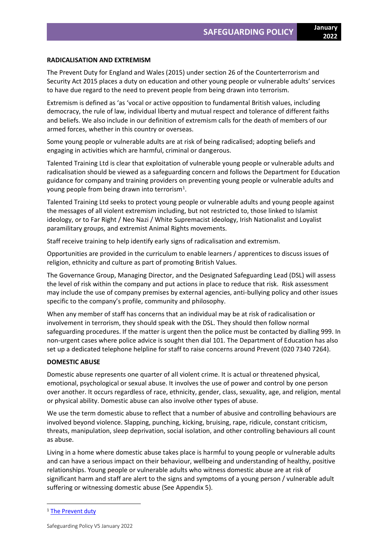### **RADICALISATION AND EXTREMISM**

The Prevent Duty for England and Wales (2015) under section 26 of the Counterterrorism and Security Act 2015 places a duty on education and other young people or vulnerable adults' services to have due regard to the need to prevent people from being drawn into terrorism.

Extremism is defined as 'as 'vocal or active opposition to fundamental British values, including democracy, the rule of law, individual liberty and mutual respect and tolerance of different faiths and beliefs. We also include in our definition of extremism calls for the death of members of our armed forces, whether in this country or overseas.

Some young people or vulnerable adults are at risk of being radicalised; adopting beliefs and engaging in activities which are harmful, criminal or dangerous.

Talented Training Ltd is clear that exploitation of vulnerable young people or vulnerable adults and radicalisation should be viewed as a safeguarding concern and follows the Department for Education guidance for company and training providers on preventing young people or vulnerable adults and young people from being drawn into terrorism<sup>1</sup>.

Talented Training Ltd seeks to protect young people or vulnerable adults and young people against the messages of all violent extremism including, but not restricted to, those linked to Islamist ideology, or to Far Right / Neo Nazi / White Supremacist ideology, Irish Nationalist and Loyalist paramilitary groups, and extremist Animal Rights movements.

Staff receive training to help identify early signs of radicalisation and extremism.

Opportunities are provided in the curriculum to enable learners / apprentices to discuss issues of religion, ethnicity and culture as part of promoting British Values.

The Governance Group, Managing Director, and the Designated Safeguarding Lead (DSL) will assess the level of risk within the company and put actions in place to reduce that risk. Risk assessment may include the use of company premises by external agencies, anti-bullying policy and other issues specific to the company's profile, community and philosophy.

When any member of staff has concerns that an individual may be at risk of radicalisation or involvement in terrorism, they should speak with the DSL. They should then follow normal safeguarding procedures. If the matter is urgent then the police must be contacted by dialling 999. In non-urgent cases where police advice is sought then dial 101. The Department of Education has also set up a dedicated telephone helpline for staff to raise concerns around Prevent (020 7340 7264).

### **DOMESTIC ABUSE**

Domestic abuse represents one quarter of all violent crime. It is actual or threatened physical, emotional, psychological or sexual abuse. It involves the use of power and control by one person over another. It occurs regardless of race, ethnicity, gender, class, sexuality, age, and religion, mental or physical ability. Domestic abuse can also involve other types of abuse.

We use the term domestic abuse to reflect that a number of abusive and controlling behaviours are involved beyond violence. Slapping, punching, kicking, bruising, rape, ridicule, constant criticism, threats, manipulation, sleep deprivation, social isolation, and other controlling behaviours all count as abuse.

Living in a home where domestic abuse takes place is harmful to young people or vulnerable adults and can have a serious impact on their behaviour, wellbeing and understanding of healthy, positive relationships. Young people or vulnerable adults who witness domestic abuse are at risk of significant harm and staff are alert to the signs and symptoms of a young person / vulnerable adult suffering or witnessing domestic abuse (See Appendix 5).

<sup>&</sup>lt;sup>1</sup> [The Prevent duty](https://www.gov.uk/government/uploads/system/uploads/attachment_data/file/439598/prevent-duty-departmental-advice-v6.pdf)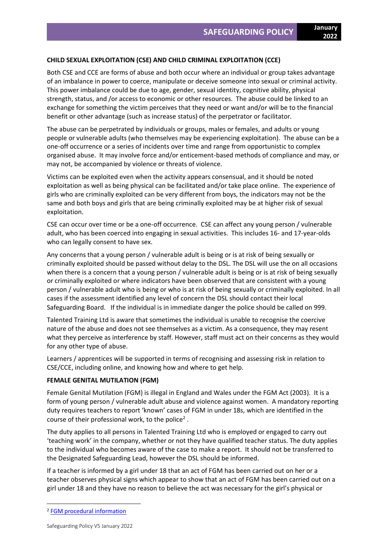# **CHILD SEXUAL EXPLOITATION (CSE) AND CHILD CRIMINAL EXPLOITATION (CCE)**

Both CSE and CCE are forms of abuse and both occur where an individual or group takes advantage of an imbalance in power to coerce, manipulate or deceive someone into sexual or criminal activity. This power imbalance could be due to age, gender, sexual identity, cognitive ability, physical strength, status, and /or access to economic or other resources. The abuse could be linked to an exchange for something the victim perceives that they need or want and/or will be to the financial benefit or other advantage (such as increase status) of the perpetrator or facilitator.

The abuse can be perpetrated by individuals or groups, males or females, and adults or young people or vulnerable adults (who themselves may be experiencing exploitation). The abuse can be a one-off occurrence or a series of incidents over time and range from opportunistic to complex organised abuse. It may involve force and/or enticement-based methods of compliance and may, or may not, be accompanied by violence or threats of violence.

Victims can be exploited even when the activity appears consensual, and it should be noted exploitation as well as being physical can be facilitated and/or take place online. The experience of girls who are criminally exploited can be very different from boys, the indicators may not be the same and both boys and girls that are being criminally exploited may be at higher risk of sexual exploitation.

CSE can occur over time or be a one-off occurrence. CSE can affect any young person / vulnerable adult, who has been coerced into engaging in sexual activities. This includes 16- and 17-year-olds who can legally consent to have sex.

Any concerns that a young person / vulnerable adult is being or is at risk of being sexually or criminally exploited should be passed without delay to the DSL. The DSL will use the on all occasions when there is a concern that a young person / vulnerable adult is being or is at risk of being sexually or criminally exploited or where indicators have been observed that are consistent with a young person / vulnerable adult who is being or who is at risk of being sexually or criminally exploited. In all cases if the assessment identified any level of concern the DSL should contact their local Safeguarding Board. If the individual is in immediate danger the police should be called on 999.

Talented Training Ltd is aware that sometimes the individual is unable to recognise the coercive nature of the abuse and does not see themselves as a victim. As a consequence, they may resent what they perceive as interference by staff. However, staff must act on their concerns as they would for any other type of abuse.

Learners / apprentices will be supported in terms of recognising and assessing risk in relation to CSE/CCE, including online, and knowing how and where to get help.

### **FEMALE GENITAL MUTILATION (FGM)**

Female Genital Mutilation (FGM) is illegal in England and Wales under the FGM Act (2003). It is a form of young person / vulnerable adult abuse and violence against women. A mandatory reporting duty requires teachers to report 'known' cases of FGM in under 18s, which are identified in the course of their professional work, to the police<sup>2</sup>.

The duty applies to all persons in Talented Training Ltd who is employed or engaged to carry out 'teaching work' in the company, whether or not they have qualified teacher status. The duty applies to the individual who becomes aware of the case to make a report. It should not be transferred to the Designated Safeguarding Lead, however the DSL should be informed.

If a teacher is informed by a girl under 18 that an act of FGM has been carried out on her or a teacher observes physical signs which appear to show that an act of FGM has been carried out on a girl under 18 and they have no reason to believe the act was necessary for the girl's physical or

<sup>2</sup> [FGM procedural information](https://www.gov.uk/government/uploads/system/uploads/attachment_data/file/573782/FGM_Mandatory_Reporting_-_procedural_information_nov16_FINAL.pdf)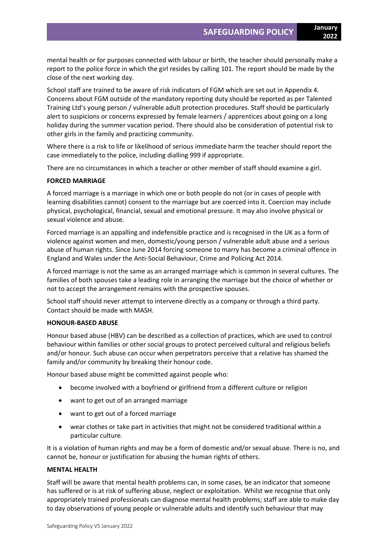mental health or for purposes connected with labour or birth, the teacher should personally make a report to the police force in which the girl resides by calling 101. The report should be made by the close of the next working day.

School staff are trained to be aware of risk indicators of FGM which are set out in Appendix 4. Concerns about FGM outside of the mandatory reporting duty should be reported as per Talented Training Ltd's young person / vulnerable adult protection procedures. Staff should be particularly alert to suspicions or concerns expressed by female learners / apprentices about going on a long holiday during the summer vacation period. There should also be consideration of potential risk to other girls in the family and practicing community.

Where there is a risk to life or likelihood of serious immediate harm the teacher should report the case immediately to the police, including dialling 999 if appropriate.

There are no circumstances in which a teacher or other member of staff should examine a girl.

### **FORCED MARRIAGE**

A forced marriage is a marriage in which one or both people do not (or in cases of people with learning disabilities cannot) consent to the marriage but are coerced into it. Coercion may include physical, psychological, financial, sexual and emotional pressure. It may also involve physical or sexual violence and abuse.

Forced marriage is an appalling and indefensible practice and is recognised in the UK as a form of violence against women and men, domestic/young person / vulnerable adult abuse and a serious abuse of human rights. Since June 2014 forcing someone to marry has become a criminal offence in England and Wales under the Anti-Social Behaviour, Crime and Policing Act 2014.

A forced marriage is not the same as an arranged marriage which is common in several cultures. The families of both spouses take a leading role in arranging the marriage but the choice of whether or not to accept the arrangement remains with the prospective spouses.

School staff should never attempt to intervene directly as a company or through a third party. Contact should be made with MASH.

### **HONOUR-BASED ABUSE**

Honour based abuse (HBV) can be described as a collection of practices, which are used to control behaviour within families or other social groups to protect perceived cultural and religious beliefs and/or honour. Such abuse can occur when perpetrators perceive that a relative has shamed the family and/or community by breaking their honour code.

Honour based abuse might be committed against people who:

- become involved with a boyfriend or girlfriend from a different culture or religion
- want to get out of an arranged marriage
- want to get out of a forced marriage
- wear clothes or take part in activities that might not be considered traditional within a particular culture.

It is a violation of human rights and may be a form of domestic and/or sexual abuse. There is no, and cannot be, honour or justification for abusing the human rights of others.

### **MENTAL HEALTH**

Staff will be aware that mental health problems can, in some cases, be an indicator that someone has suffered or is at risk of suffering abuse, neglect or exploitation. Whilst we recognise that only appropriately trained professionals can diagnose mental health problems; staff are able to make day to day observations of young people or vulnerable adults and identify such behaviour that may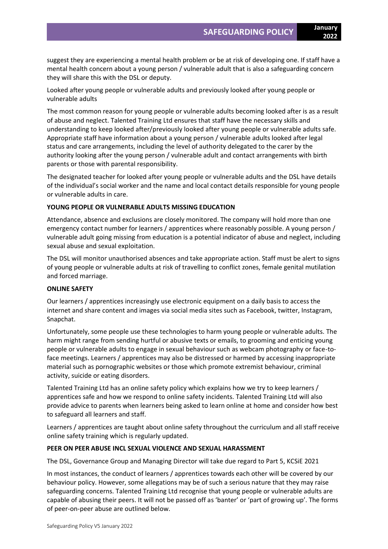suggest they are experiencing a mental health problem or be at risk of developing one. If staff have a mental health concern about a young person / vulnerable adult that is also a safeguarding concern they will share this with the DSL or deputy.

Looked after young people or vulnerable adults and previously looked after young people or vulnerable adults

The most common reason for young people or vulnerable adults becoming looked after is as a result of abuse and neglect. Talented Training Ltd ensures that staff have the necessary skills and understanding to keep looked after/previously looked after young people or vulnerable adults safe. Appropriate staff have information about a young person / vulnerable adults looked after legal status and care arrangements, including the level of authority delegated to the carer by the authority looking after the young person / vulnerable adult and contact arrangements with birth parents or those with parental responsibility.

The designated teacher for looked after young people or vulnerable adults and the DSL have details of the individual's social worker and the name and local contact details responsible for young people or vulnerable adults in care.

# **YOUNG PEOPLE OR VULNERABLE ADULTS MISSING EDUCATION**

Attendance, absence and exclusions are closely monitored. The company will hold more than one emergency contact number for learners / apprentices where reasonably possible. A young person / vulnerable adult going missing from education is a potential indicator of abuse and neglect, including sexual abuse and sexual exploitation.

The DSL will monitor unauthorised absences and take appropriate action. Staff must be alert to signs of young people or vulnerable adults at risk of travelling to conflict zones, female genital mutilation and forced marriage.

# **ONLINE SAFETY**

Our learners / apprentices increasingly use electronic equipment on a daily basis to access the internet and share content and images via social media sites such as Facebook, twitter, Instagram, Snapchat.

Unfortunately, some people use these technologies to harm young people or vulnerable adults. The harm might range from sending hurtful or abusive texts or emails, to grooming and enticing young people or vulnerable adults to engage in sexual behaviour such as webcam photography or face-toface meetings. Learners / apprentices may also be distressed or harmed by accessing inappropriate material such as pornographic websites or those which promote extremist behaviour, criminal activity, suicide or eating disorders.

Talented Training Ltd has an online safety policy which explains how we try to keep learners / apprentices safe and how we respond to online safety incidents. Talented Training Ltd will also provide advice to parents when learners being asked to learn online at home and consider how best to safeguard all learners and staff.

Learners / apprentices are taught about online safety throughout the curriculum and all staff receive online safety training which is regularly updated.

# **PEER ON PEER ABUSE INCL SEXUAL VIOLENCE AND SEXUAL HARASSMENT**

The DSL, Governance Group and Managing Director will take due regard to Part 5, KCSiE 2021

In most instances, the conduct of learners / apprentices towards each other will be covered by our behaviour policy. However, some allegations may be of such a serious nature that they may raise safeguarding concerns. Talented Training Ltd recognise that young people or vulnerable adults are capable of abusing their peers. It will not be passed off as 'banter' or 'part of growing up'. The forms of peer-on-peer abuse are outlined below.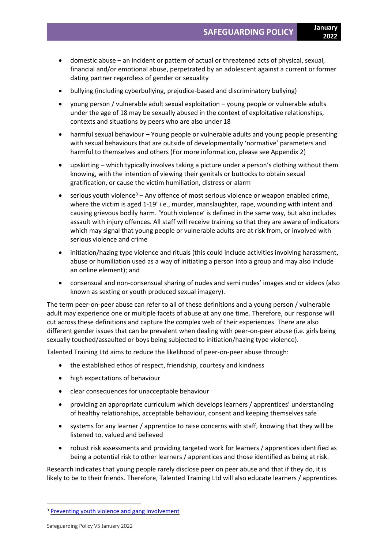- domestic abuse an incident or pattern of actual or threatened acts of physical, sexual, financial and/or emotional abuse, perpetrated by an adolescent against a current or former dating partner regardless of gender or sexuality
- bullying (including cyberbullying, prejudice-based and discriminatory bullying)
- young person / vulnerable adult sexual exploitation young people or vulnerable adults under the age of 18 may be sexually abused in the context of exploitative relationships, contexts and situations by peers who are also under 18
- harmful sexual behaviour Young people or vulnerable adults and young people presenting with sexual behaviours that are outside of developmentally 'normative' parameters and harmful to themselves and others (For more information, please see Appendix 2)
- upskirting which typically involves taking a picture under a person's clothing without them knowing, with the intention of viewing their genitals or buttocks to obtain sexual gratification, or cause the victim humiliation, distress or alarm
- serious youth violence $3 -$  Any offence of most serious violence or weapon enabled crime, where the victim is aged 1-19' i.e., murder, manslaughter, rape, wounding with intent and causing grievous bodily harm. 'Youth violence' is defined in the same way, but also includes assault with injury offences. All staff will receive training so that they are aware of indicators which may signal that young people or vulnerable adults are at risk from, or involved with serious violence and crime
- initiation/hazing type violence and rituals (this could include activities involving harassment, abuse or humiliation used as a way of initiating a person into a group and may also include an online element); and
- consensual and non-consensual sharing of nudes and semi nudes' images and or videos (also known as sexting or youth produced sexual imagery).

The term peer-on-peer abuse can refer to all of these definitions and a young person / vulnerable adult may experience one or multiple facets of abuse at any one time. Therefore, our response will cut across these definitions and capture the complex web of their experiences. There are also different gender issues that can be prevalent when dealing with peer-on-peer abuse (i.e. girls being sexually touched/assaulted or boys being subjected to initiation/hazing type violence).

Talented Training Ltd aims to reduce the likelihood of peer-on-peer abuse through:

- the established ethos of respect, friendship, courtesy and kindness
- high expectations of behaviour
- clear consequences for unacceptable behaviour
- providing an appropriate curriculum which develops learners / apprentices' understanding of healthy relationships, acceptable behaviour, consent and keeping themselves safe
- systems for any learner / apprentice to raise concerns with staff, knowing that they will be listened to, valued and believed
- robust risk assessments and providing targeted work for learners / apprentices identified as being a potential risk to other learners / apprentices and those identified as being at risk.

Research indicates that young people rarely disclose peer on peer abuse and that if they do, it is likely to be to their friends. Therefore, Talented Training Ltd will also educate learners / apprentices

<sup>&</sup>lt;sup>3</sup> [Preventing youth violence and gang involvement](https://assets.publishing.service.gov.uk/government/uploads/system/uploads/attachment_data/file/418131/Preventing_youth_violence_and_gang_involvement_v3_March2015.pdf)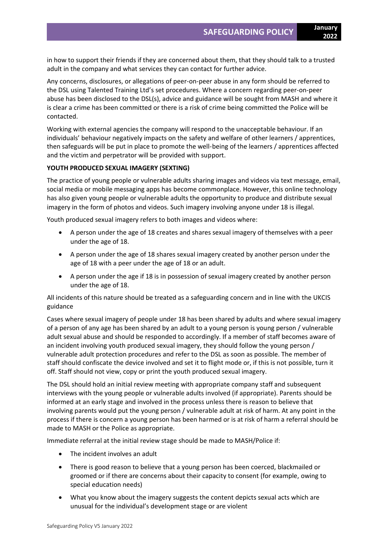in how to support their friends if they are concerned about them, that they should talk to a trusted adult in the company and what services they can contact for further advice.

Any concerns, disclosures, or allegations of peer-on-peer abuse in any form should be referred to the DSL using Talented Training Ltd's set procedures. Where a concern regarding peer-on-peer abuse has been disclosed to the DSL(s), advice and guidance will be sought from MASH and where it is clear a crime has been committed or there is a risk of crime being committed the Police will be contacted.

Working with external agencies the company will respond to the unacceptable behaviour. If an individuals' behaviour negatively impacts on the safety and welfare of other learners / apprentices, then safeguards will be put in place to promote the well-being of the learners / apprentices affected and the victim and perpetrator will be provided with support.

# **YOUTH PRODUCED SEXUAL IMAGERY (SEXTING)**

The practice of young people or vulnerable adults sharing images and videos via text message, email, social media or mobile messaging apps has become commonplace. However, this online technology has also given young people or vulnerable adults the opportunity to produce and distribute sexual imagery in the form of photos and videos. Such imagery involving anyone under 18 is illegal.

Youth produced sexual imagery refers to both images and videos where:

- A person under the age of 18 creates and shares sexual imagery of themselves with a peer under the age of 18.
- A person under the age of 18 shares sexual imagery created by another person under the age of 18 with a peer under the age of 18 or an adult.
- A person under the age if 18 is in possession of sexual imagery created by another person under the age of 18.

All incidents of this nature should be treated as a safeguarding concern and in line with the UKCIS guidance

Cases where sexual imagery of people under 18 has been shared by adults and where sexual imagery of a person of any age has been shared by an adult to a young person is young person / vulnerable adult sexual abuse and should be responded to accordingly. If a member of staff becomes aware of an incident involving youth produced sexual imagery, they should follow the young person / vulnerable adult protection procedures and refer to the DSL as soon as possible. The member of staff should confiscate the device involved and set it to flight mode or, if this is not possible, turn it off. Staff should not view, copy or print the youth produced sexual imagery.

The DSL should hold an initial review meeting with appropriate company staff and subsequent interviews with the young people or vulnerable adults involved (if appropriate). Parents should be informed at an early stage and involved in the process unless there is reason to believe that involving parents would put the young person / vulnerable adult at risk of harm. At any point in the process if there is concern a young person has been harmed or is at risk of harm a referral should be made to MASH or the Police as appropriate.

Immediate referral at the initial review stage should be made to MASH/Police if:

- The incident involves an adult
- There is good reason to believe that a young person has been coerced, blackmailed or groomed or if there are concerns about their capacity to consent (for example, owing to special education needs)
- What you know about the imagery suggests the content depicts sexual acts which are unusual for the individual's development stage or are violent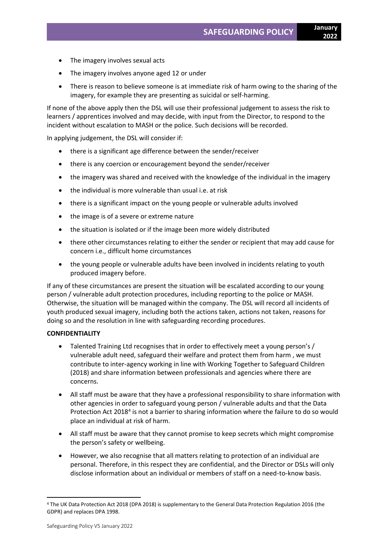- The imagery involves sexual acts
- The imagery involves anyone aged 12 or under
- There is reason to believe someone is at immediate risk of harm owing to the sharing of the imagery, for example they are presenting as suicidal or self-harming.

If none of the above apply then the DSL will use their professional judgement to assess the risk to learners / apprentices involved and may decide, with input from the Director, to respond to the incident without escalation to MASH or the police. Such decisions will be recorded.

In applying judgement, the DSL will consider if:

- there is a significant age difference between the sender/receiver
- there is any coercion or encouragement beyond the sender/receiver
- the imagery was shared and received with the knowledge of the individual in the imagery
- the individual is more vulnerable than usual i.e. at risk
- there is a significant impact on the young people or vulnerable adults involved
- the image is of a severe or extreme nature
- the situation is isolated or if the image been more widely distributed
- there other circumstances relating to either the sender or recipient that may add cause for concern i.e., difficult home circumstances
- the young people or vulnerable adults have been involved in incidents relating to youth produced imagery before.

If any of these circumstances are present the situation will be escalated according to our young person / vulnerable adult protection procedures, including reporting to the police or MASH. Otherwise, the situation will be managed within the company. The DSL will record all incidents of youth produced sexual imagery, including both the actions taken, actions not taken, reasons for doing so and the resolution in line with safeguarding recording procedures.

# **CONFIDENTIALITY**

- Talented Training Ltd recognises that in order to effectively meet a young person's / vulnerable adult need, safeguard their welfare and protect them from harm , we must contribute to inter-agency working in line with Working Together to Safeguard Children (2018) and share information between professionals and agencies where there are concerns.
- All staff must be aware that they have a professional responsibility to share information with other agencies in order to safeguard young person / vulnerable adults and that the Data Protection Act 2018<sup>4</sup> is not a barrier to sharing information where the failure to do so would place an individual at risk of harm.
- All staff must be aware that they cannot promise to keep secrets which might compromise the person's safety or wellbeing.
- However, we also recognise that all matters relating to protection of an individual are personal. Therefore, in this respect they are confidential, and the Director or DSLs will only disclose information about an individual or members of staff on a need-to-know basis.

<sup>4</sup> The UK Data Protection Act 2018 (DPA 2018) is supplementary to the General Data Protection Regulation 2016 (the GDPR) and replaces DPA 1998.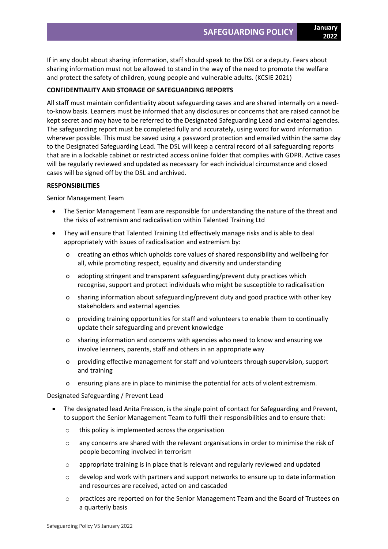If in any doubt about sharing information, staff should speak to the DSL or a deputy. Fears about sharing information must not be allowed to stand in the way of the need to promote the welfare and protect the safety of children, young people and vulnerable adults. (KCSIE 2021)

# **CONFIDENTIALITY AND STORAGE OF SAFEGUARDING REPORTS**

All staff must maintain confidentiality about safeguarding cases and are shared internally on a needto-know basis. Learners must be informed that any disclosures or concerns that are raised cannot be kept secret and may have to be referred to the Designated Safeguarding Lead and external agencies. The safeguarding report must be completed fully and accurately, using word for word information wherever possible. This must be saved using a password protection and emailed within the same day to the Designated Safeguarding Lead. The DSL will keep a central record of all safeguarding reports that are in a lockable cabinet or restricted access online folder that complies with GDPR. Active cases will be regularly reviewed and updated as necessary for each individual circumstance and closed cases will be signed off by the DSL and archived.

### **RESPONSIBILITIES**

Senior Management Team

- The Senior Management Team are responsible for understanding the nature of the threat and the risks of extremism and radicalisation within Talented Training Ltd
- They will ensure that Talented Training Ltd effectively manage risks and is able to deal appropriately with issues of radicalisation and extremism by:
	- o creating an ethos which upholds core values of shared responsibility and wellbeing for all, while promoting respect, equality and diversity and understanding
	- o adopting stringent and transparent safeguarding/prevent duty practices which recognise, support and protect individuals who might be susceptible to radicalisation
	- o sharing information about safeguarding/prevent duty and good practice with other key stakeholders and external agencies
	- o providing training opportunities for staff and volunteers to enable them to continually update their safeguarding and prevent knowledge
	- o sharing information and concerns with agencies who need to know and ensuring we involve learners, parents, staff and others in an appropriate way
	- o providing effective management for staff and volunteers through supervision, support and training
	- o ensuring plans are in place to minimise the potential for acts of violent extremism.

Designated Safeguarding / Prevent Lead

- The designated lead Anita Fresson, is the single point of contact for Safeguarding and Prevent, to support the Senior Management Team to fulfil their responsibilities and to ensure that:
	- o this policy is implemented across the organisation
	- o any concerns are shared with the relevant organisations in order to minimise the risk of people becoming involved in terrorism
	- o appropriate training is in place that is relevant and regularly reviewed and updated
	- $\circ$  develop and work with partners and support networks to ensure up to date information and resources are received, acted on and cascaded
	- o practices are reported on for the Senior Management Team and the Board of Trustees on a quarterly basis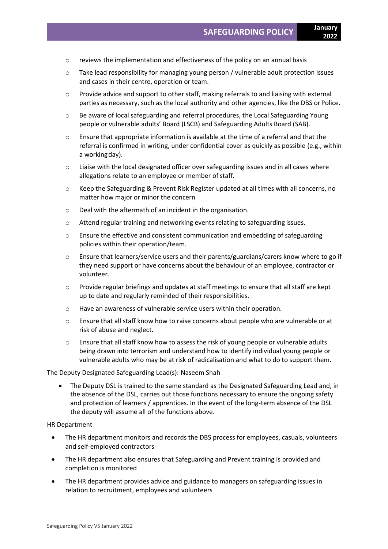- o reviews the implementation and effectiveness of the policy on an annual basis
- o Take lead responsibility for managing young person / vulnerable adult protection issues and cases in their centre, operation or team.
- o Provide advice and support to other staff, making referrals to and liaising with external parties as necessary, such as the local authority and other agencies, like the DBS or Police.
- o Be aware of local safeguarding and referral procedures, the Local Safeguarding Young people or vulnerable adults' Board (LSCB) and Safeguarding Adults Board (SAB).
- $\circ$  Ensure that appropriate information is available at the time of a referral and that the referral is confirmed in writing, under confidential cover as quickly as possible (e.g., within a workingday).
- o Liaise with the local designated officer over safeguarding issues and in all cases where allegations relate to an employee or member of staff.
- o Keep the Safeguarding & Prevent Risk Register updated at all times with all concerns, no matter how major or minor the concern
- o Deal with the aftermath of an incident in the organisation.
- o Attend regular training and networking events relating to safeguarding issues.
- o Ensure the effective and consistent communication and embedding of safeguarding policies within their operation/team.
- o Ensure that learners/service users and their parents/guardians/carers know where to go if they need support or have concerns about the behaviour of an employee, contractor or volunteer.
- o Provide regular briefings and updates at staff meetings to ensure that all staff are kept up to date and regularly reminded of their responsibilities.
- o Have an awareness of vulnerable service users within their operation.
- o Ensure that all staff know how to raise concerns about people who are vulnerable or at risk of abuse and neglect.
- o Ensure that all staff know how to assess the risk of young people or vulnerable adults being drawn into terrorism and understand how to identify individual young people or vulnerable adults who may be at risk of radicalisation and what to do to support them.

# The Deputy Designated Safeguarding Lead(s): Naseem Shah

• The Deputy DSL is trained to the same standard as the Designated Safeguarding Lead and, in the absence of the DSL, carries out those functions necessary to ensure the ongoing safety and protection of learners / apprentices. In the event of the long-term absence of the DSL the deputy will assume all of the functions above.

HR Department

- The HR department monitors and records the DBS process for employees, casuals, volunteers and self-employed contractors
- The HR department also ensures that Safeguarding and Prevent training is provided and completion is monitored
- The HR department provides advice and guidance to managers on safeguarding issues in relation to recruitment, employees and volunteers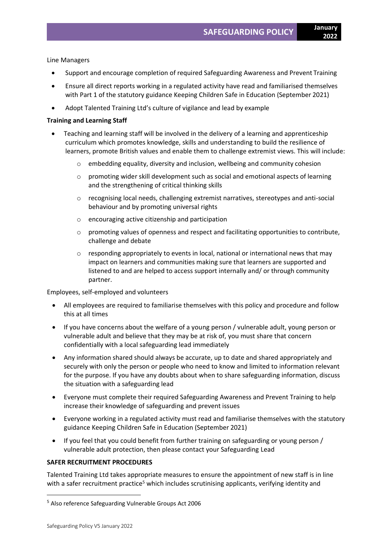Line Managers

- Support and encourage completion of required Safeguarding Awareness and Prevent Training
- Ensure all direct reports working in a regulated activity have read and familiarised themselves with Part 1 of the statutory guidance Keeping Children Safe in Education (September 2021)
- Adopt Talented Training Ltd's culture of vigilance and lead by example

# **Training and Learning Staff**

- Teaching and learning staff will be involved in the delivery of a learning and apprenticeship curriculum which promotes knowledge, skills and understanding to build the resilience of learners, promote British values and enable them to challenge extremist views. This will include:
	- $\circ$  embedding equality, diversity and inclusion, wellbeing and community cohesion
	- $\circ$  promoting wider skill development such as social and emotional aspects of learning and the strengthening of critical thinking skills
	- o recognising local needs, challenging extremist narratives, stereotypes and anti-social behaviour and by promoting universal rights
	- o encouraging active citizenship and participation
	- $\circ$  promoting values of openness and respect and facilitating opportunities to contribute, challenge and debate
	- $\circ$  responding appropriately to events in local, national or international news that may impact on learners and communities making sure that learners are supported and listened to and are helped to access support internally and/ or through community partner.

Employees, self-employed and volunteers

- All employees are required to familiarise themselves with this policy and procedure and follow this at all times
- If you have concerns about the welfare of a young person / vulnerable adult, young person or vulnerable adult and believe that they may be at risk of, you must share that concern confidentially with a local safeguarding lead immediately
- Any information shared should always be accurate, up to date and shared appropriately and securely with only the person or people who need to know and limited to information relevant for the purpose. If you have any doubts about when to share safeguarding information, discuss the situation with a safeguarding lead
- Everyone must complete their required Safeguarding Awareness and Prevent Training to help increase their knowledge of safeguarding and prevent issues
- Everyone working in a regulated activity must read and familiarise themselves with the statutory guidance Keeping Children Safe in Education (September 2021)
- If you feel that you could benefit from further training on safeguarding or young person / vulnerable adult protection, then please contact your Safeguarding Lead

# **SAFER RECRUITMENT PROCEDURES**

Talented Training Ltd takes appropriate measures to ensure the appointment of new staff is in line with a safer recruitment practice<sup>5</sup> which includes scrutinising applicants, verifying identity and

<sup>5</sup> Also reference Safeguarding Vulnerable Groups Act 2006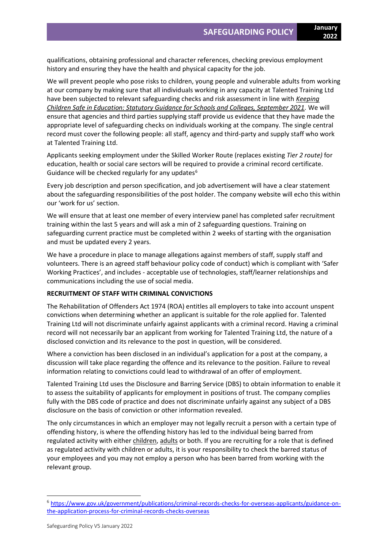qualifications, obtaining professional and character references, checking previous employment history and ensuring they have the health and physical capacity for the job.

We will prevent people who pose risks to children, young people and vulnerable adults from working at our company by making sure that all individuals working in any capacity at Talented Training Ltd have been subjected to relevant safeguarding checks and risk assessment in line with *[Keeping](https://assets.publishing.service.gov.uk/government/uploads/system/uploads/attachment_data/file/1007260/Keeping_children_safe_in_education_2021.pdf)  [Children Safe in Education: Statutory Guidance for Schools and Colleges, September 2021.](https://assets.publishing.service.gov.uk/government/uploads/system/uploads/attachment_data/file/1007260/Keeping_children_safe_in_education_2021.pdf)* We will ensure that agencies and third parties supplying staff provide us evidence that they have made the appropriate level of safeguarding checks on individuals working at the company. The single central record must cover the following people: all staff, agency and third-party and supply staff who work at Talented Training Ltd.

Applicants seeking employment under the Skilled Worker Route (replaces existing *Tier 2 route)* for education, health or social care sectors will be required to provide a criminal record certificate. Guidance will be checked regularly for any updates $6$ 

Every job description and person specification, and job advertisement will have a clear statement about the safeguarding responsibilities of the post holder. The company website will echo this within our 'work for us' section.

We will ensure that at least one member of every interview panel has completed safer recruitment training within the last 5 years and will ask a min of 2 safeguarding questions. Training on safeguarding current practice must be completed within 2 weeks of starting with the organisation and must be updated every 2 years.

We have a procedure in place to manage allegations against members of staff, supply staff and volunteers. There is an agreed staff behaviour policy code of conduct) which is compliant with 'Safer Working Practices', and includes - acceptable use of technologies, staff/learner relationships and communications including the use of social media.

# **RECRUITMENT OF STAFF WITH CRIMINAL CONVICTIONS**

The Rehabilitation of Offenders Act 1974 (ROA) entitles all employers to take into account unspent convictions when determining whether an applicant is suitable for the role applied for. Talented Training Ltd will not discriminate unfairly against applicants with a criminal record. Having a criminal record will not necessarily bar an applicant from working for Talented Training Ltd, the nature of a disclosed conviction and its relevance to the post in question, will be considered.

Where a conviction has been disclosed in an individual's application for a post at the company, a discussion will take place regarding the offence and its relevance to the position. Failure to reveal information relating to convictions could lead to withdrawal of an offer of employment.

Talented Training Ltd uses the Disclosure and Barring Service (DBS) to obtain information to enable it to assess the suitability of applicants for employment in positions of trust. The company complies fully with the DBS code of practice and does not discriminate unfairly against any subject of a DBS disclosure on the basis of conviction or other information revealed.

The only circumstances in which an employer may not legally recruit a person with a certain type of offending history, is where the offending history has led to the individual being barred from regulated activity with either [children,](https://assets.publishing.service.gov.uk/government/uploads/system/uploads/attachment_data/file/550197/Regulated_activity_in_relation_to_children.pdf) [adults](https://assets.publishing.service.gov.uk/government/uploads/system/uploads/attachment_data/file/216900/Regulated-Activity-Adults-Dec-2012.pdf) or both. If you are recruiting for a role that is defined as regulated activity with children or adults, it is your responsibility to check the barred status of your employees and you may not employ a person who has been barred from working with the relevant group.

<sup>6</sup> [https://www.gov.uk/government/publications/criminal-records-checks-for-overseas-applicants/guidance-on](https://www.gov.uk/government/publications/criminal-records-checks-for-overseas-applicants/guidance-on-the-application-process-for-criminal-records-checks-overseas)[the-application-process-for-criminal-records-checks-overseas](https://www.gov.uk/government/publications/criminal-records-checks-for-overseas-applicants/guidance-on-the-application-process-for-criminal-records-checks-overseas)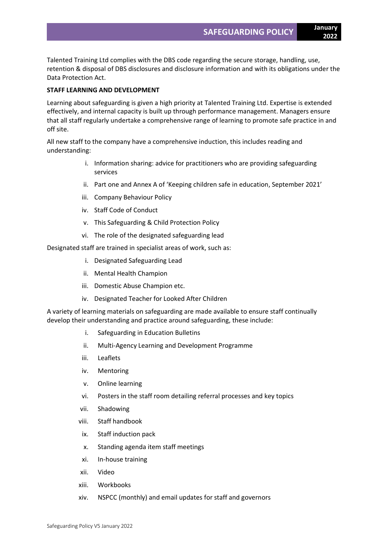Talented Training Ltd complies with the DBS code regarding the secure storage, handling, use, retention & disposal of DBS disclosures and disclosure information and with its obligations under the Data Protection Act.

# **STAFF LEARNING AND DEVELOPMENT**

Learning about safeguarding is given a high priority at Talented Training Ltd. Expertise is extended effectively, and internal capacity is built up through performance management. Managers ensure that all staff regularly undertake a comprehensive range of learning to promote safe practice in and off site.

All new staff to the company have a comprehensive induction, this includes reading and understanding:

- i. Information sharing: advice for practitioners who are providing safeguarding services
- ii. Part one and Annex A of 'Keeping children safe in education, September 2021'
- iii. Company Behaviour Policy
- iv. Staff Code of Conduct
- v. This Safeguarding & Child Protection Policy
- vi. The role of the designated safeguarding lead

Designated staff are trained in specialist areas of work, such as:

- i. Designated Safeguarding Lead
- ii. Mental Health Champion
- iii. Domestic Abuse Champion etc.
- iv. Designated Teacher for Looked After Children

A variety of learning materials on safeguarding are made available to ensure staff continually develop their understanding and practice around safeguarding, these include:

- i. Safeguarding in Education Bulletins
- ii. Multi-Agency Learning and Development Programme
- iii. Leaflets
- iv. Mentoring
- v. Online learning
- vi. Posters in the staff room detailing referral processes and key topics
- vii. Shadowing
- viii. Staff handbook
- ix. Staff induction pack
- x. Standing agenda item staff meetings
- xi. In-house training
- xii. Video
- xiii. Workbooks
- xiv. NSPCC (monthly) and email updates for staff and governors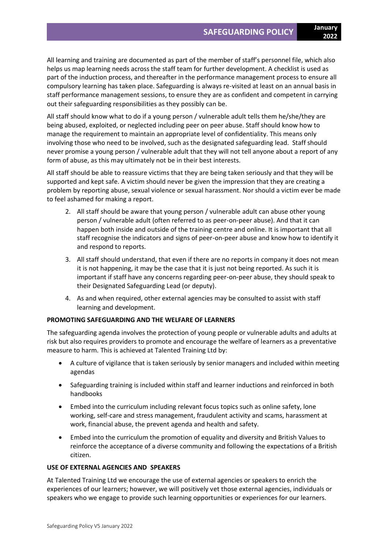All learning and training are documented as part of the member of staff's personnel file, which also helps us map learning needs across the staff team for further development. A checklist is used as part of the induction process, and thereafter in the performance management process to ensure all compulsory learning has taken place. Safeguarding is always re-visited at least on an annual basis in staff performance management sessions, to ensure they are as confident and competent in carrying out their safeguarding responsibilities as they possibly can be.

All staff should know what to do if a young person / vulnerable adult tells them he/she/they are being abused, exploited, or neglected including peer on peer abuse. Staff should know how to manage the requirement to maintain an appropriate level of confidentiality. This means only involving those who need to be involved, such as the designated safeguarding lead. Staff should never promise a young person / vulnerable adult that they will not tell anyone about a report of any form of abuse, as this may ultimately not be in their best interests.

All staff should be able to reassure victims that they are being taken seriously and that they will be supported and kept safe. A victim should never be given the impression that they are creating a problem by reporting abuse, sexual violence or sexual harassment. Nor should a victim ever be made to feel ashamed for making a report.

- 2. All staff should be aware that young person / vulnerable adult can abuse other young person / vulnerable adult (often referred to as peer-on-peer abuse). And that it can happen both inside and outside of the training centre and online. It is important that all staff recognise the indicators and signs of peer-on-peer abuse and know how to identify it and respond to reports.
- 3. All staff should understand, that even if there are no reports in company it does not mean it is not happening, it may be the case that it is just not being reported. As such it is important if staff have any concerns regarding peer-on-peer abuse, they should speak to their Designated Safeguarding Lead (or deputy).
- 4. As and when required, other external agencies may be consulted to assist with staff learning and development.

# **PROMOTING SAFEGUARDING AND THE WELFARE OF LEARNERS**

The safeguarding agenda involves the protection of young people or vulnerable adults and adults at risk but also requires providers to promote and encourage the welfare of learners as a preventative measure to harm. This is achieved at Talented Training Ltd by:

- A culture of vigilance that is taken seriously by senior managers and included within meeting agendas
- Safeguarding training is included within staff and learner inductions and reinforced in both handbooks
- Embed into the curriculum including relevant focus topics such as online safety, lone working, self-care and stress management, fraudulent activity and scams, harassment at work, financial abuse, the prevent agenda and health and safety.
- Embed into the curriculum the promotion of equality and diversity and British Values to reinforce the acceptance of a diverse community and following the expectations of a British citizen.

# **USE OF EXTERNAL AGENCIES AND SPEAKERS**

At Talented Training Ltd we encourage the use of external agencies or speakers to enrich the experiences of our learners; however, we will positively vet those external agencies, individuals or speakers who we engage to provide such learning opportunities or experiences for our learners.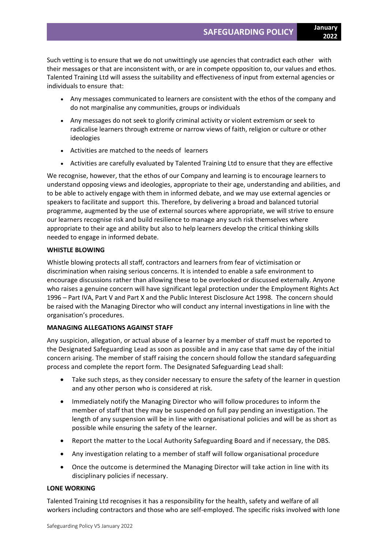Such vetting is to ensure that we do not unwittingly use agencies that contradict each other with their messages or that are inconsistent with, or are in compete opposition to, our values and ethos. Talented Training Ltd will assess the suitability and effectiveness of input from external agencies or individuals to ensure that:

- Any messages communicated to learners are consistent with the ethos of the company and do not marginalise any communities, groups or individuals
- Any messages do not seek to glorify criminal activity or violent extremism or seek to radicalise learners through extreme or narrow views of faith, religion or culture or other ideologies
- Activities are matched to the needs of learners
- Activities are carefully evaluated by Talented Training Ltd to ensure that they are effective

We recognise, however, that the ethos of our Company and learning is to encourage learners to understand opposing views and ideologies, appropriate to their age, understanding and abilities, and to be able to actively engage with them in informed debate, and we may use external agencies or speakers to facilitate and support this. Therefore, by delivering a broad and balanced tutorial programme, augmented by the use of external sources where appropriate, we will strive to ensure our learners recognise risk and build resilience to manage any such risk themselves where appropriate to their age and ability but also to help learners develop the critical thinking skills needed to engage in informed debate.

# **WHISTLE BLOWING**

Whistle blowing protects all staff, contractors and learners from fear of victimisation or discrimination when raising serious concerns. It is intended to enable a safe environment to encourage discussions rather than allowing these to be overlooked or discussed externally. Anyone who raises a genuine concern will have significant legal protection under the Employment Rights Act 1996 – Part IVA, Part V and Part X and the Public Interest Disclosure Act 1998. The concern should be raised with the Managing Director who will conduct any internal investigations in line with the organisation's procedures.

# **MANAGING ALLEGATIONS AGAINST STAFF**

Any suspicion, allegation, or actual abuse of a learner by a member of staff must be reported to the Designated Safeguarding Lead as soon as possible and in any case that same day of the initial concern arising. The member of staff raising the concern should follow the standard safeguarding process and complete the report form. The Designated Safeguarding Lead shall:

- Take such steps, as they consider necessary to ensure the safety of the learner in question and any other person who is considered at risk.
- Immediately notify the Managing Director who will follow procedures to inform the member of staff that they may be suspended on full pay pending an investigation. The length of any suspension will be in line with organisational policies and will be as short as possible while ensuring the safety of the learner.
- Report the matter to the Local Authority Safeguarding Board and if necessary, the DBS.
- Any investigation relating to a member of staff will follow organisational procedure
- Once the outcome is determined the Managing Director will take action in line with its disciplinary policies if necessary.

# **LONE WORKING**

Talented Training Ltd recognises it has a responsibility for the health, safety and welfare of all workers including contractors and those who are self-employed. The specific risks involved with lone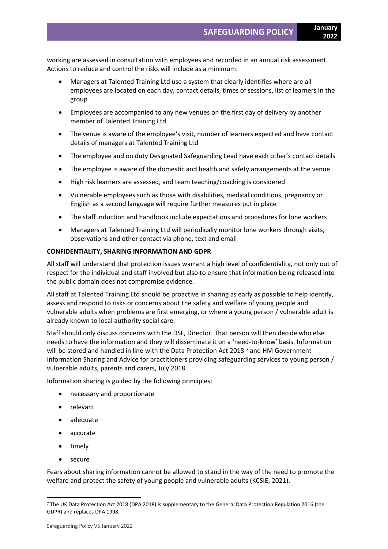working are assessed in consultation with employees and recorded in an annual risk assessment. Actions to reduce and control the risks will include as a minimum:

- Managers at Talented Training Ltd use a system that clearly identifies where are all employees are located on each day, contact details, times of sessions, list of learners in the group
- Employees are accompanied to any new venues on the first day of delivery by another member of Talented Training Ltd
- The venue is aware of the employee's visit, number of learners expected and have contact details of managers at Talented Training Ltd
- The employee and on duty Designated Safeguarding Lead have each other's contact details
- The employee is aware of the domestic and health and safety arrangements at the venue
- High risk learners are assessed, and team teaching/coaching is considered
- Vulnerable employees such as those with disabilities, medical conditions, pregnancy or English as a second language will require further measures put in place
- The staff induction and handbook include expectations and procedures for lone workers
- Managers at Talented Training Ltd will periodically monitor lone workers through visits, observations and other contact via phone, text and email

### **CONFIDENTIALITY, SHARING INFORMATION AND GDPR**

All staff will understand that protection issues warrant a high level of confidentiality, not only out of respect for the individual and staff involved but also to ensure that information being released into the public domain does not compromise evidence.

All staff at Talented Training Ltd should be proactive in sharing as early as possible to help identify, assess and respond to risks or concerns about the safety and welfare of young people and vulnerable adults when problems are first emerging, or where a young person / vulnerable adult is already known to local authority social care.

Staff should only discuss concerns with the DSL, Director. That person will then decide who else needs to have the information and they will disseminate it on a 'need-to-know' basis. Information will be stored and handled in line with the Data Protection Act 2018<sup>7</sup> and HM Government Information Sharing and Advice for practitioners providing safeguarding services to young person / vulnerable adults, parents and carers, July 2018

Information sharing is guided by the following principles:

- necessary and proportionate
- relevant
- adequate
- accurate
- timely
- secure

Fears about sharing information cannot be allowed to stand in the way of the need to promote the welfare and protect the safety of young people and vulnerable adults (KCSIE, 2021).

<sup>7</sup> The UK Data Protection Act 2018 (DPA 2018) is supplementary to the General Data Protection Regulation 2016 (the GDPR) and replaces DPA 1998.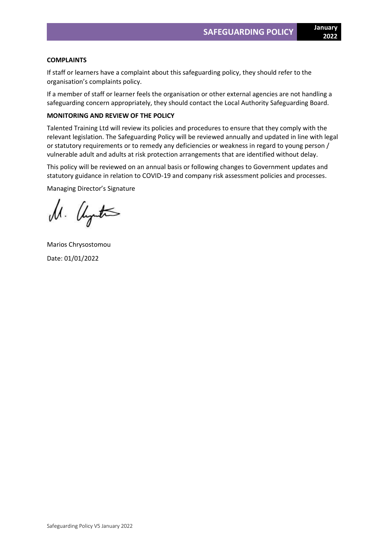### **COMPLAINTS**

If staff or learners have a complaint about this safeguarding policy, they should refer to the organisation's complaints policy.

If a member of staff or learner feels the organisation or other external agencies are not handling a safeguarding concern appropriately, they should contact the Local Authority Safeguarding Board.

### **MONITORING AND REVIEW OF THE POLICY**

Talented Training Ltd will review its policies and procedures to ensure that they comply with the relevant legislation. The Safeguarding Policy will be reviewed annually and updated in line with legal or statutory requirements or to remedy any deficiencies or weakness in regard to young person / vulnerable adult and adults at risk protection arrangements that are identified without delay.

This policy will be reviewed on an annual basis or following changes to Government updates and statutory guidance in relation to COVID-19 and company risk assessment policies and processes.

Managing Director's Signature

M. United

Marios Chrysostomou Date: 01/01/2022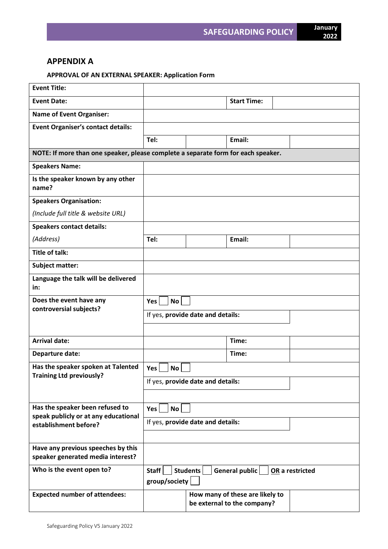# **APPENDIX A**

# **APPROVAL OF AN EXTERNAL SPEAKER: Application Form**

| <b>Event Title:</b>                                                               |                                                                         |  |                                                                |  |  |
|-----------------------------------------------------------------------------------|-------------------------------------------------------------------------|--|----------------------------------------------------------------|--|--|
| <b>Event Date:</b>                                                                |                                                                         |  | <b>Start Time:</b>                                             |  |  |
| <b>Name of Event Organiser:</b>                                                   |                                                                         |  |                                                                |  |  |
| <b>Event Organiser's contact details:</b>                                         |                                                                         |  |                                                                |  |  |
|                                                                                   | Tel:                                                                    |  | Email:                                                         |  |  |
| NOTE: If more than one speaker, please complete a separate form for each speaker. |                                                                         |  |                                                                |  |  |
| <b>Speakers Name:</b>                                                             |                                                                         |  |                                                                |  |  |
| Is the speaker known by any other<br>name?                                        |                                                                         |  |                                                                |  |  |
| <b>Speakers Organisation:</b>                                                     |                                                                         |  |                                                                |  |  |
| (Include full title & website URL)                                                |                                                                         |  |                                                                |  |  |
| <b>Speakers contact details:</b>                                                  |                                                                         |  |                                                                |  |  |
| (Address)                                                                         | Tel:                                                                    |  | Email:                                                         |  |  |
| <b>Title of talk:</b>                                                             |                                                                         |  |                                                                |  |  |
| <b>Subject matter:</b>                                                            |                                                                         |  |                                                                |  |  |
| Language the talk will be delivered<br>in:                                        |                                                                         |  |                                                                |  |  |
| Does the event have any                                                           | No<br><b>Yes</b>                                                        |  |                                                                |  |  |
| controversial subjects?                                                           | If yes, provide date and details:                                       |  |                                                                |  |  |
|                                                                                   |                                                                         |  |                                                                |  |  |
| <b>Arrival date:</b>                                                              |                                                                         |  | Time:                                                          |  |  |
| Departure date:                                                                   |                                                                         |  | Time:                                                          |  |  |
| Has the speaker spoken at Talented                                                | Yes<br>No                                                               |  |                                                                |  |  |
| <b>Training Ltd previously?</b>                                                   | If yes, provide date and details:                                       |  |                                                                |  |  |
|                                                                                   |                                                                         |  |                                                                |  |  |
| Has the speaker been refused to                                                   | <b>Yes</b><br><b>No</b>                                                 |  |                                                                |  |  |
| speak publicly or at any educational<br>establishment before?                     | If yes, provide date and details:                                       |  |                                                                |  |  |
|                                                                                   |                                                                         |  |                                                                |  |  |
| Have any previous speeches by this                                                |                                                                         |  |                                                                |  |  |
| speaker generated media interest?                                                 |                                                                         |  |                                                                |  |  |
| Who is the event open to?                                                         | Staff<br>Students<br>General public<br>OR a restricted<br>group/society |  |                                                                |  |  |
| <b>Expected number of attendees:</b>                                              |                                                                         |  | How many of these are likely to<br>be external to the company? |  |  |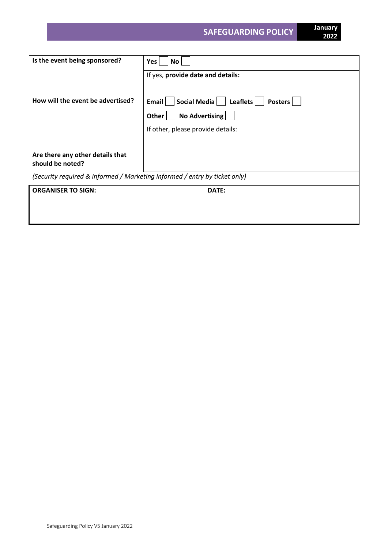| No<br>Yes $ $                                                              |  |  |  |
|----------------------------------------------------------------------------|--|--|--|
| If yes, provide date and details:                                          |  |  |  |
|                                                                            |  |  |  |
| Social Media<br>Email<br>Leaflets<br><b>Posters</b>                        |  |  |  |
| No Advertising<br>Other $ $                                                |  |  |  |
| If other, please provide details:                                          |  |  |  |
|                                                                            |  |  |  |
|                                                                            |  |  |  |
| (Security required & informed / Marketing informed / entry by ticket only) |  |  |  |
| DATE:                                                                      |  |  |  |
|                                                                            |  |  |  |
|                                                                            |  |  |  |
|                                                                            |  |  |  |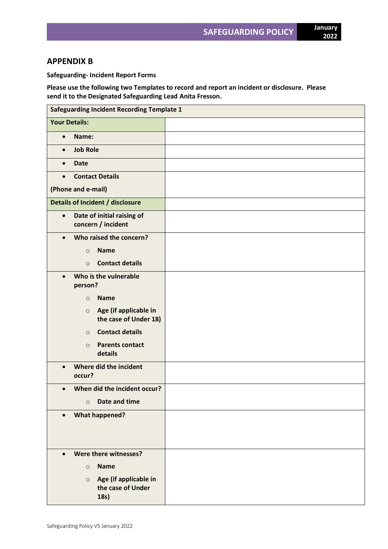# **APPENDIX B**

**Safeguarding- Incident Report Forms**

**Please use the following two Templates to record and report an incident or disclosure. Please send it to the Designated Safeguarding Lead Anita Fresson.**

| <b>Safeguarding Incident Recording Template 1</b>             |  |  |  |  |  |
|---------------------------------------------------------------|--|--|--|--|--|
| <b>Your Details:</b>                                          |  |  |  |  |  |
| Name:<br>$\bullet$                                            |  |  |  |  |  |
| <b>Job Role</b><br>$\bullet$                                  |  |  |  |  |  |
| <b>Date</b><br>$\bullet$                                      |  |  |  |  |  |
| <b>Contact Details</b><br>$\bullet$                           |  |  |  |  |  |
| (Phone and e-mail)                                            |  |  |  |  |  |
| Details of Incident / disclosure                              |  |  |  |  |  |
| Date of initial raising of<br>$\bullet$<br>concern / incident |  |  |  |  |  |
| Who raised the concern?<br>$\bullet$                          |  |  |  |  |  |
| <b>Name</b><br>$\circ$                                        |  |  |  |  |  |
| <b>Contact details</b><br>$\circ$                             |  |  |  |  |  |
| Who is the vulnerable<br>$\bullet$<br>person?                 |  |  |  |  |  |
| <b>Name</b><br>$\circ$                                        |  |  |  |  |  |
| Age (if applicable in<br>$\circ$<br>the case of Under 18)     |  |  |  |  |  |
| <b>Contact details</b><br>$\circ$                             |  |  |  |  |  |
| <b>Parents contact</b><br>$\circ$<br>details                  |  |  |  |  |  |
| Where did the incident<br>$\bullet$<br>occur?                 |  |  |  |  |  |
| When did the incident occur?<br>$\bullet$                     |  |  |  |  |  |
| Date and time<br>$\circ$                                      |  |  |  |  |  |
| <b>What happened?</b>                                         |  |  |  |  |  |
|                                                               |  |  |  |  |  |
| Were there witnesses?<br>$\bullet$                            |  |  |  |  |  |
| <b>Name</b><br>$\circ$                                        |  |  |  |  |  |
| Age (if applicable in<br>$\circ$<br>the case of Under<br>18s) |  |  |  |  |  |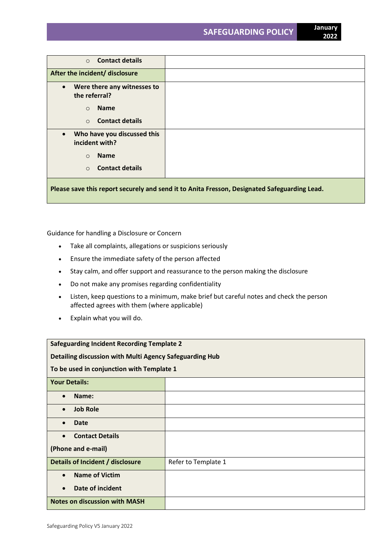| <b>Contact details</b><br>$\circ$                                                            |  |  |  |
|----------------------------------------------------------------------------------------------|--|--|--|
| After the incident/ disclosure                                                               |  |  |  |
| Were there any witnesses to<br>$\bullet$<br>the referral?                                    |  |  |  |
| <b>Name</b><br>$\circ$                                                                       |  |  |  |
| <b>Contact details</b><br>$\Omega$                                                           |  |  |  |
| Who have you discussed this<br>$\bullet$<br>incident with?                                   |  |  |  |
| <b>Name</b><br>$\Omega$                                                                      |  |  |  |
| <b>Contact details</b><br>$\circ$                                                            |  |  |  |
| Please save this report securely and send it to Anita Fresson, Designated Safeguarding Lead. |  |  |  |

Guidance for handling a Disclosure or Concern

- Take all complaints, allegations or suspicions seriously
- Ensure the immediate safety of the person affected
- Stay calm, and offer support and reassurance to the person making the disclosure
- Do not make any promises regarding confidentiality
- Listen, keep questions to a minimum, make brief but careful notes and check the person affected agrees with them (where applicable)
- Explain what you will do.

| <b>Safeguarding Incident Recording Template 2</b>       |                     |  |  |  |
|---------------------------------------------------------|---------------------|--|--|--|
| Detailing discussion with Multi Agency Safeguarding Hub |                     |  |  |  |
| To be used in conjunction with Template 1               |                     |  |  |  |
| <b>Your Details:</b>                                    |                     |  |  |  |
| Name:                                                   |                     |  |  |  |
| <b>Job Role</b><br>$\bullet$                            |                     |  |  |  |
| <b>Date</b><br>$\bullet$                                |                     |  |  |  |
| <b>Contact Details</b><br>$\bullet$                     |                     |  |  |  |
| (Phone and e-mail)                                      |                     |  |  |  |
| Details of Incident / disclosure                        | Refer to Template 1 |  |  |  |
| <b>Name of Victim</b><br>$\bullet$                      |                     |  |  |  |
| Date of incident<br>$\bullet$                           |                     |  |  |  |
| <b>Notes on discussion with MASH</b>                    |                     |  |  |  |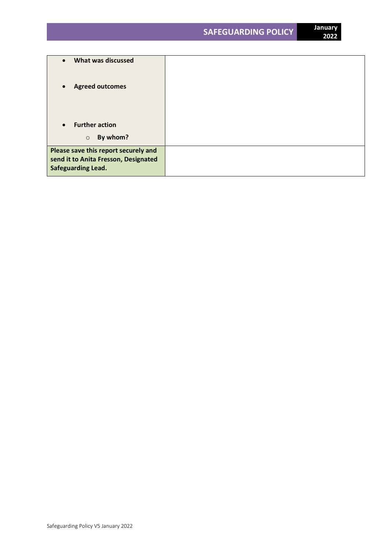| What was discussed<br>$\bullet$                                                                           |  |
|-----------------------------------------------------------------------------------------------------------|--|
| <b>Agreed outcomes</b><br>$\bullet$                                                                       |  |
|                                                                                                           |  |
| <b>Further action</b><br>$\bullet$                                                                        |  |
| By whom?<br>$\circ$                                                                                       |  |
| Please save this report securely and<br>send it to Anita Fresson, Designated<br><b>Safeguarding Lead.</b> |  |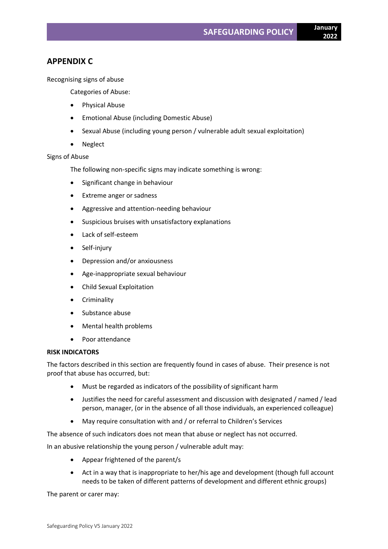# **APPENDIX C**

Recognising signs of abuse

Categories of Abuse:

- Physical Abuse
- Emotional Abuse (including Domestic Abuse)
- Sexual Abuse (including young person / vulnerable adult sexual exploitation)
- Neglect

# Signs of Abuse

The following non-specific signs may indicate something is wrong:

- Significant change in behaviour
- Extreme anger or sadness
- Aggressive and attention-needing behaviour
- Suspicious bruises with unsatisfactory explanations
- Lack of self-esteem
- Self-injury
- Depression and/or anxiousness
- Age-inappropriate sexual behaviour
- Child Sexual Exploitation
- **Criminality**
- Substance abuse
- Mental health problems
- Poor attendance

# **RISK INDICATORS**

The factors described in this section are frequently found in cases of abuse. Their presence is not proof that abuse has occurred, but:

- Must be regarded as indicators of the possibility of significant harm
- Justifies the need for careful assessment and discussion with designated / named / lead person, manager, (or in the absence of all those individuals, an experienced colleague)
- May require consultation with and / or referral to Children's Services

The absence of such indicators does not mean that abuse or neglect has not occurred.

In an abusive relationship the young person / vulnerable adult may:

- Appear frightened of the parent/s
- Act in a way that is inappropriate to her/his age and development (though full account needs to be taken of different patterns of development and different ethnic groups)

The parent or carer may: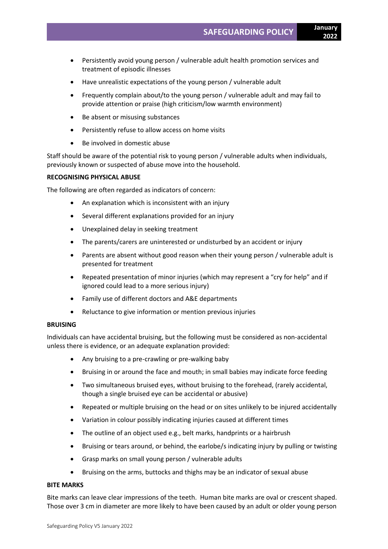- Persistently avoid young person / vulnerable adult health promotion services and treatment of episodic illnesses
- Have unrealistic expectations of the young person / vulnerable adult
- Frequently complain about/to the young person / vulnerable adult and may fail to provide attention or praise (high criticism/low warmth environment)
- Be absent or misusing substances
- Persistently refuse to allow access on home visits
- Be involved in domestic abuse

Staff should be aware of the potential risk to young person / vulnerable adults when individuals, previously known or suspected of abuse move into the household.

### **RECOGNISING PHYSICAL ABUSE**

The following are often regarded as indicators of concern:

- An explanation which is inconsistent with an injury
- Several different explanations provided for an injury
- Unexplained delay in seeking treatment
- The parents/carers are uninterested or undisturbed by an accident or injury
- Parents are absent without good reason when their young person / vulnerable adult is presented for treatment
- Repeated presentation of minor injuries (which may represent a "cry for help" and if ignored could lead to a more serious injury)
- Family use of different doctors and A&E departments
- Reluctance to give information or mention previous injuries

### **BRUISING**

Individuals can have accidental bruising, but the following must be considered as non-accidental unless there is evidence, or an adequate explanation provided:

- Any bruising to a pre-crawling or pre-walking baby
- Bruising in or around the face and mouth; in small babies may indicate force feeding
- Two simultaneous bruised eyes, without bruising to the forehead, (rarely accidental, though a single bruised eye can be accidental or abusive)
- Repeated or multiple bruising on the head or on sites unlikely to be injured accidentally
- Variation in colour possibly indicating injuries caused at different times
- The outline of an object used e.g., belt marks, handprints or a hairbrush
- Bruising or tears around, or behind, the earlobe/s indicating injury by pulling or twisting
- Grasp marks on small young person / vulnerable adults
- Bruising on the arms, buttocks and thighs may be an indicator of sexual abuse

### **BITE MARKS**

Bite marks can leave clear impressions of the teeth. Human bite marks are oval or crescent shaped. Those over 3 cm in diameter are more likely to have been caused by an adult or older young person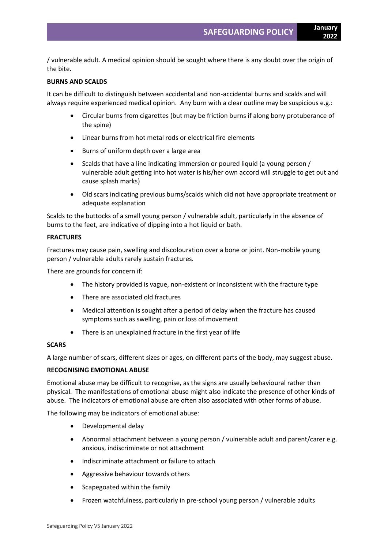/ vulnerable adult. A medical opinion should be sought where there is any doubt over the origin of the bite.

### **BURNS AND SCALDS**

It can be difficult to distinguish between accidental and non-accidental burns and scalds and will always require experienced medical opinion. Any burn with a clear outline may be suspicious e.g.:

- Circular burns from cigarettes (but may be friction burns if along bony protuberance of the spine)
- Linear burns from hot metal rods or electrical fire elements
- Burns of uniform depth over a large area
- Scalds that have a line indicating immersion or poured liquid (a young person / vulnerable adult getting into hot water is his/her own accord will struggle to get out and cause splash marks)
- Old scars indicating previous burns/scalds which did not have appropriate treatment or adequate explanation

Scalds to the buttocks of a small young person / vulnerable adult, particularly in the absence of burns to the feet, are indicative of dipping into a hot liquid or bath.

### **FRACTURES**

Fractures may cause pain, swelling and discolouration over a bone or joint. Non-mobile young person / vulnerable adults rarely sustain fractures.

There are grounds for concern if:

- The history provided is vague, non-existent or inconsistent with the fracture type
- There are associated old fractures
- Medical attention is sought after a period of delay when the fracture has caused symptoms such as swelling, pain or loss of movement
- There is an unexplained fracture in the first year of life

### **SCARS**

A large number of scars, different sizes or ages, on different parts of the body, may suggest abuse.

### **RECOGNISING EMOTIONAL ABUSE**

Emotional abuse may be difficult to recognise, as the signs are usually behavioural rather than physical. The manifestations of emotional abuse might also indicate the presence of other kinds of abuse. The indicators of emotional abuse are often also associated with other forms of abuse.

The following may be indicators of emotional abuse:

- Developmental delay
- Abnormal attachment between a young person / vulnerable adult and parent/carer e.g. anxious, indiscriminate or not attachment
- Indiscriminate attachment or failure to attach
- Aggressive behaviour towards others
- Scapegoated within the family
- Frozen watchfulness, particularly in pre-school young person / vulnerable adults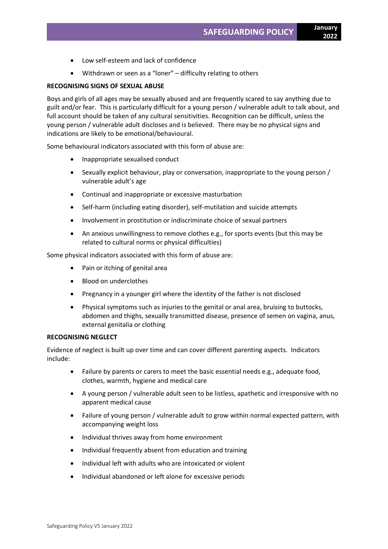- Low self-esteem and lack of confidence
- Withdrawn or seen as a "loner" difficulty relating to others

### **RECOGNISING SIGNS OF SEXUAL ABUSE**

Boys and girls of all ages may be sexually abused and are frequently scared to say anything due to guilt and/or fear. This is particularly difficult for a young person / vulnerable adult to talk about, and full account should be taken of any cultural sensitivities. Recognition can be difficult, unless the young person / vulnerable adult discloses and is believed. There may be no physical signs and indications are likely to be emotional/behavioural.

Some behavioural indicators associated with this form of abuse are:

- Inappropriate sexualised conduct
- Sexually explicit behaviour, play or conversation, inappropriate to the young person / vulnerable adult's age
- Continual and inappropriate or excessive masturbation
- Self-harm (including eating disorder), self-mutilation and suicide attempts
- Involvement in prostitution or indiscriminate choice of sexual partners
- An anxious unwillingness to remove clothes e.g., for sports events (but this may be related to cultural norms or physical difficulties)

Some physical indicators associated with this form of abuse are:

- Pain or itching of genital area
- Blood on underclothes
- Pregnancy in a younger girl where the identity of the father is not disclosed
- Physical symptoms such as injuries to the genital or anal area, bruising to buttocks, abdomen and thighs, sexually transmitted disease, presence of semen on vagina, anus, external genitalia or clothing

#### **RECOGNISING NEGLECT**

Evidence of neglect is built up over time and can cover different parenting aspects. Indicators include:

- Failure by parents or carers to meet the basic essential needs e.g., adequate food, clothes, warmth, hygiene and medical care
- A young person / vulnerable adult seen to be listless, apathetic and irresponsive with no apparent medical cause
- Failure of young person / vulnerable adult to grow within normal expected pattern, with accompanying weight loss
- Individual thrives away from home environment
- Individual frequently absent from education and training
- Individual left with adults who are intoxicated or violent
- Individual abandoned or left alone for excessive periods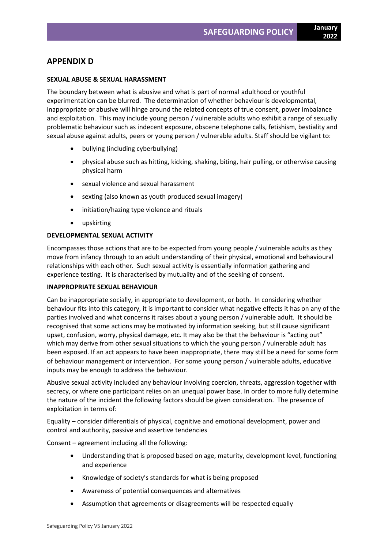# **APPENDIX D**

# **SEXUAL ABUSE & SEXUAL HARASSMENT**

The boundary between what is abusive and what is part of normal adulthood or youthful experimentation can be blurred. The determination of whether behaviour is developmental, inappropriate or abusive will hinge around the related concepts of true consent, power imbalance and exploitation. This may include young person / vulnerable adults who exhibit a range of sexually problematic behaviour such as indecent exposure, obscene telephone calls, fetishism, bestiality and sexual abuse against adults, peers or young person / vulnerable adults. Staff should be vigilant to:

- bullying (including cyberbullying)
- physical abuse such as hitting, kicking, shaking, biting, hair pulling, or otherwise causing physical harm
- sexual violence and sexual harassment
- sexting (also known as youth produced sexual imagery)
- initiation/hazing type violence and rituals
- upskirting

# **DEVELOPMENTAL SEXUAL ACTIVITY**

Encompasses those actions that are to be expected from young people / vulnerable adults as they move from infancy through to an adult understanding of their physical, emotional and behavioural relationships with each other. Such sexual activity is essentially information gathering and experience testing. It is characterised by mutuality and of the seeking of consent.

# **INAPPROPRIATE SEXUAL BEHAVIOUR**

Can be inappropriate socially, in appropriate to development, or both. In considering whether behaviour fits into this category, it is important to consider what negative effects it has on any of the parties involved and what concerns it raises about a young person / vulnerable adult. It should be recognised that some actions may be motivated by information seeking, but still cause significant upset, confusion, worry, physical damage, etc. It may also be that the behaviour is "acting out" which may derive from other sexual situations to which the young person / vulnerable adult has been exposed. If an act appears to have been inappropriate, there may still be a need for some form of behaviour management or intervention. For some young person / vulnerable adults, educative inputs may be enough to address the behaviour.

Abusive sexual activity included any behaviour involving coercion, threats, aggression together with secrecy, or where one participant relies on an unequal power base. In order to more fully determine the nature of the incident the following factors should be given consideration. The presence of exploitation in terms of:

Equality – consider differentials of physical, cognitive and emotional development, power and control and authority, passive and assertive tendencies

Consent – agreement including all the following:

- Understanding that is proposed based on age, maturity, development level, functioning and experience
- Knowledge of society's standards for what is being proposed
- Awareness of potential consequences and alternatives
- Assumption that agreements or disagreements will be respected equally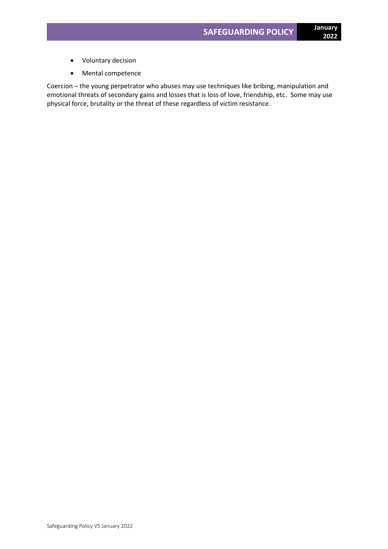- Voluntary decision
- Mental competence

Coercion – the young perpetrator who abuses may use techniques like bribing, manipulation and emotional threats of secondary gains and losses that is loss of love, friendship, etc. Some may use physical force, brutality or the threat of these regardless of victim resistance.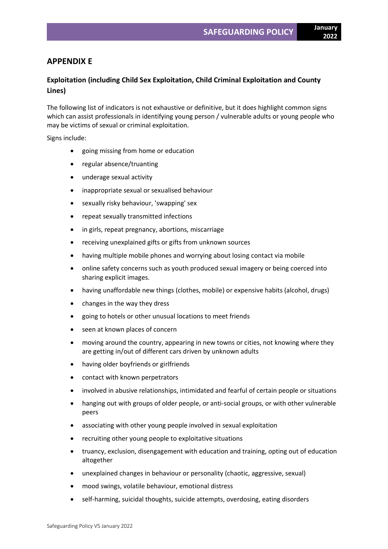# **APPENDIX E**

# **Exploitation (including Child Sex Exploitation, Child Criminal Exploitation and County Lines)**

The following list of indicators is not exhaustive or definitive, but it does highlight common signs which can assist professionals in identifying young person / vulnerable adults or young people who may be victims of sexual or criminal exploitation.

Signs include:

- going missing from home or education
- regular absence/truanting
- underage sexual activity
- inappropriate sexual or sexualised behaviour
- sexually risky behaviour, 'swapping' sex
- repeat sexually transmitted infections
- in girls, repeat pregnancy, abortions, miscarriage
- receiving unexplained gifts or gifts from unknown sources
- having multiple mobile phones and worrying about losing contact via mobile
- online safety concerns such as youth produced sexual imagery or being coerced into sharing explicit images.
- having unaffordable new things (clothes, mobile) or expensive habits (alcohol, drugs)
- changes in the way they dress
- going to hotels or other unusual locations to meet friends
- seen at known places of concern
- moving around the country, appearing in new towns or cities, not knowing where they are getting in/out of different cars driven by unknown adults
- having older boyfriends or girlfriends
- contact with known perpetrators
- involved in abusive relationships, intimidated and fearful of certain people or situations
- hanging out with groups of older people, or anti-social groups, or with other vulnerable peers
- associating with other young people involved in sexual exploitation
- recruiting other young people to exploitative situations
- truancy, exclusion, disengagement with education and training, opting out of education altogether
- unexplained changes in behaviour or personality (chaotic, aggressive, sexual)
- mood swings, volatile behaviour, emotional distress
- self-harming, suicidal thoughts, suicide attempts, overdosing, eating disorders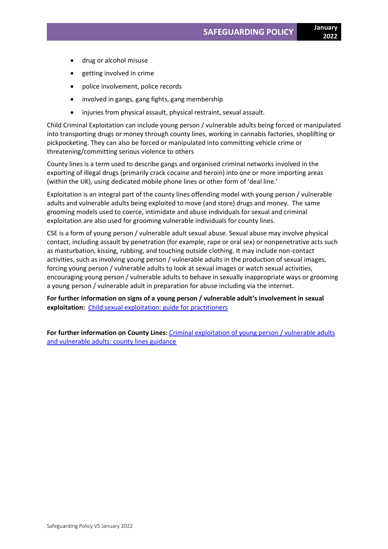- drug or alcohol misuse
- getting involved in crime
- police involvement, police records
- involved in gangs, gang fights, gang membership
- injuries from physical assault, physical restraint, sexual assault.

Child Criminal Exploitation can include young person / vulnerable adults being forced or manipulated into transporting drugs or money through county lines, working in cannabis factories, shoplifting or pickpocketing. They can also be forced or manipulated into committing vehicle crime or threatening/committing serious violence to others

County lines is a term used to describe gangs and organised criminal networks involved in the exporting of illegal drugs (primarily crack cocaine and heroin) into one or more importing areas (within the UK), using dedicated mobile phone lines or other form of 'deal line.'

Exploitation is an integral part of the county lines offending model with young person / vulnerable adults and vulnerable adults being exploited to move (and store) drugs and money. The same grooming models used to coerce, intimidate and abuse individuals for sexual and criminal exploitation are also used for grooming vulnerable individuals for county lines.

CSE is a form of young person / vulnerable adult sexual abuse. Sexual abuse may involve physical contact, including assault by penetration (for example, rape or oral sex) or nonpenetrative acts such as masturbation, kissing, rubbing, and touching outside clothing. It may include non-contact activities, such as involving young person / vulnerable adults in the production of sexual images, forcing young person / vulnerable adults to look at sexual images or watch sexual activities, encouraging young person / vulnerable adults to behave in sexually inappropriate ways or grooming a young person / vulnerable adult in preparation for abuse including via the internet.

**For further information on signs of a young person / vulnerable adult's involvement in sexual exploitation:** [Child sexual exploitation: guide for practitioners](https://assets.publishing.service.gov.uk/government/uploads/system/uploads/attachment_data/file/591903/CSE_Guidance_Core_Document_13.02.2017.pdf)

**For further information on County Lines:** [Criminal exploitation of young person / vulnerable adults](https://www.gov.uk/government/publications/criminal-exploitation-of-children-and-vulnerable-adults-county-lines) [and vulnerable adults: county lines guidance](https://www.gov.uk/government/publications/criminal-exploitation-of-children-and-vulnerable-adults-county-lines)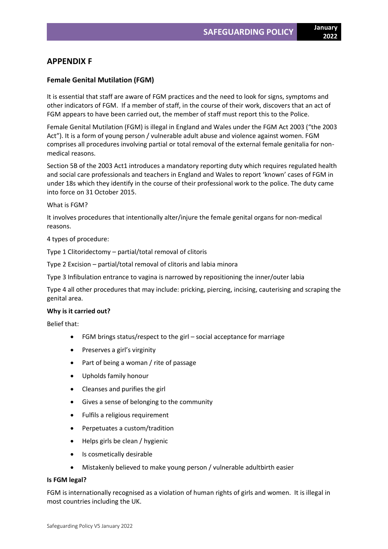# **APPENDIX F**

# **Female Genital Mutilation (FGM)**

It is essential that staff are aware of FGM practices and the need to look for signs, symptoms and other indicators of FGM. If a member of staff, in the course of their work, discovers that an act of FGM appears to have been carried out, the member of staff must report this to the Police.

Female Genital Mutilation (FGM) is illegal in England and Wales under the FGM Act 2003 ("the 2003 Act"). It is a form of young person / vulnerable adult abuse and violence against women. FGM comprises all procedures involving partial or total removal of the external female genitalia for nonmedical reasons.

Section 5B of the 2003 Act1 introduces a mandatory reporting duty which requires regulated health and social care professionals and teachers in England and Wales to report 'known' cases of FGM in under 18s which they identify in the course of their professional work to the police. The duty came into force on 31 October 2015.

### What is FGM?

It involves procedures that intentionally alter/injure the female genital organs for non-medical reasons.

# 4 types of procedure:

Type 1 Clitoridectomy – partial/total removal of clitoris

Type 2 Excision – partial/total removal of clitoris and labia minora

Type 3 Infibulation entrance to vagina is narrowed by repositioning the inner/outer labia

Type 4 all other procedures that may include: pricking, piercing, incising, cauterising and scraping the genital area.

# **Why is it carried out?**

Belief that:

- FGM brings status/respect to the girl social acceptance for marriage
- Preserves a girl's virginity
- Part of being a woman / rite of passage
- Upholds family honour
- Cleanses and purifies the girl
- Gives a sense of belonging to the community
- Fulfils a religious requirement
- Perpetuates a custom/tradition
- Helps girls be clean / hygienic
- Is cosmetically desirable
- Mistakenly believed to make young person / vulnerable adultbirth easier

# **Is FGM legal?**

FGM is internationally recognised as a violation of human rights of girls and women. It is illegal in most countries including the UK.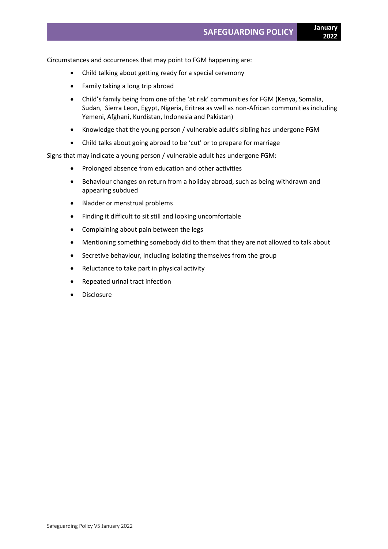Circumstances and occurrences that may point to FGM happening are:

- Child talking about getting ready for a special ceremony
- Family taking a long trip abroad
- Child's family being from one of the 'at risk' communities for FGM (Kenya, Somalia, Sudan, Sierra Leon, Egypt, Nigeria, Eritrea as well as non-African communities including Yemeni, Afghani, Kurdistan, Indonesia and Pakistan)
- Knowledge that the young person / vulnerable adult's sibling has undergone FGM
- Child talks about going abroad to be 'cut' or to prepare for marriage

Signs that may indicate a young person / vulnerable adult has undergone FGM:

- Prolonged absence from education and other activities
- Behaviour changes on return from a holiday abroad, such as being withdrawn and appearing subdued
- Bladder or menstrual problems
- Finding it difficult to sit still and looking uncomfortable
- Complaining about pain between the legs
- Mentioning something somebody did to them that they are not allowed to talk about
- Secretive behaviour, including isolating themselves from the group
- Reluctance to take part in physical activity
- Repeated urinal tract infection
- **Disclosure**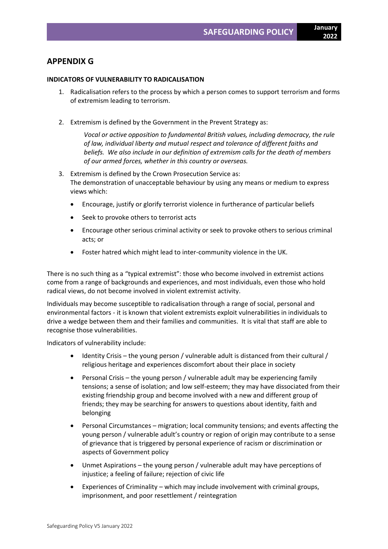# **APPENDIX G**

### **INDICATORS OF VULNERABILITY TO RADICALISATION**

- 1. Radicalisation refers to the process by which a person comes to support terrorism and forms of extremism leading to terrorism.
- 2. Extremism is defined by the Government in the Prevent Strategy as:

*Vocal or active opposition to fundamental British values, including democracy, the rule of law, individual liberty and mutual respect and tolerance of different faiths and beliefs. We also include in our definition of extremism calls for the death of members of our armed forces, whether in this country or overseas.*

- 3. Extremism is defined by the Crown Prosecution Service as: The demonstration of unacceptable behaviour by using any means or medium to express views which:
	- Encourage, justify or glorify terrorist violence in furtherance of particular beliefs
	- Seek to provoke others to terrorist acts
	- Encourage other serious criminal activity or seek to provoke others to serious criminal acts; or
	- Foster hatred which might lead to inter-community violence in the UK.

There is no such thing as a "typical extremist": those who become involved in extremist actions come from a range of backgrounds and experiences, and most individuals, even those who hold radical views, do not become involved in violent extremist activity.

Individuals may become susceptible to radicalisation through a range of social, personal and environmental factors - it is known that violent extremists exploit vulnerabilities in individuals to drive a wedge between them and their families and communities. It is vital that staff are able to recognise those vulnerabilities.

Indicators of vulnerability include:

- Identity Crisis the young person / vulnerable adult is distanced from their cultural / religious heritage and experiences discomfort about their place in society
- Personal Crisis the young person / vulnerable adult may be experiencing family tensions; a sense of isolation; and low self-esteem; they may have dissociated from their existing friendship group and become involved with a new and different group of friends; they may be searching for answers to questions about identity, faith and belonging
- Personal Circumstances migration; local community tensions; and events affecting the young person / vulnerable adult's country or region of origin may contribute to a sense of grievance that is triggered by personal experience of racism or discrimination or aspects of Government policy
- Unmet Aspirations the young person / vulnerable adult may have perceptions of injustice; a feeling of failure; rejection of civic life
- Experiences of Criminality which may include involvement with criminal groups, imprisonment, and poor resettlement / reintegration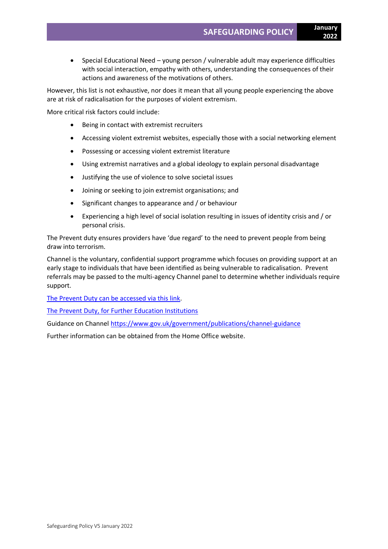- **2022**
- Special Educational Need young person / vulnerable adult may experience difficulties with social interaction, empathy with others, understanding the consequences of their actions and awareness of the motivations of others.

However, this list is not exhaustive, nor does it mean that all young people experiencing the above are at risk of radicalisation for the purposes of violent extremism.

More critical risk factors could include:

- Being in contact with extremist recruiters
- Accessing violent extremist websites, especially those with a social networking element
- Possessing or accessing violent extremist literature
- Using extremist narratives and a global ideology to explain personal disadvantage
- Justifying the use of violence to solve societal issues
- Joining or seeking to join extremist organisations; and
- Significant changes to appearance and / or behaviour
- Experiencing a high level of social isolation resulting in issues of identity crisis and / or personal crisis.

The Prevent duty ensures providers have 'due regard' to the need to prevent people from being draw into terrorism.

Channel is the voluntary, confidential support programme which focuses on providing support at an early stage to individuals that have been identified as being vulnerable to radicalisation. Prevent referrals may be passed to the multi-agency Channel panel to determine whether individuals require support.

[The Prevent Duty can be accessed via this link.](https://www.gov.uk/government/publications/prevent-duty-guidance/revised-prevent-duty-guidance-for-england-and-wales)

The Prevent [Duty, for Further Education Institutions](https://www.gov.uk/government/publications/prevent-duty-guidance/prevent-duty-guidance-for-further-education-institutions-in-england-and-wales)

Guidance on Channe[l https://www.gov.uk/government/publications/channel-guidance](https://www.gov.uk/government/publications/channel-guidance)

Further information can be obtained from the Home Office website.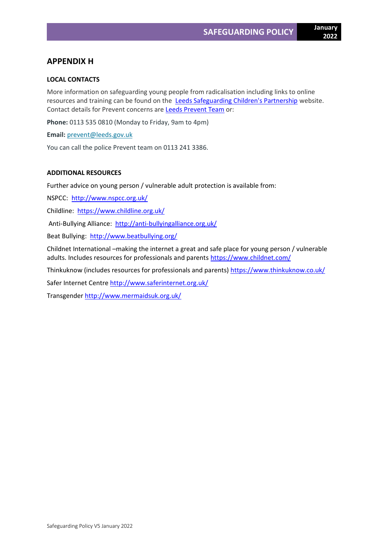# **APPENDIX H**

# **LOCAL CONTACTS**

More information on safeguarding young people from radicalisation including links to online resources and training can be found on the **[Leeds Safeguarding Children's Partnership](https://www.leedsscp.org.uk/)** website. Contact details for Prevent concerns are [Leeds Prevent Team](https://www.leeds.gov.uk/plans-and-strategies/support-for-people-at-risk-of-radicalisation-(leeds-prevent)) or:

**Phone:** 0113 535 0810 (Monday to Friday, 9am to 4pm)

**Email:** [prevent@leeds.gov.uk](mailto:prevent@leeds.gov.uk)

You can call the police Prevent team on 0113 241 3386.

# **ADDITIONAL RESOURCES**

Further advice on young person / vulnerable adult protection is available from:

NSPCC:<http://www.nspcc.org.uk/>

Childline:<https://www.childline.org.uk/>

Anti-Bullying Alliance: <http://anti-bullyingalliance.org.uk/>

Beat Bullying: <http://www.beatbullying.org/>

Childnet International –making the internet a great and safe place for young person / vulnerable adults. Includes resources for professionals and parents<https://www.childnet.com/>

Thinkuknow (includes resources for professionals and parents)<https://www.thinkuknow.co.uk/>

Safer Internet Centre<http://www.saferinternet.org.uk/>

Transgender<http://www.mermaidsuk.org.uk/>